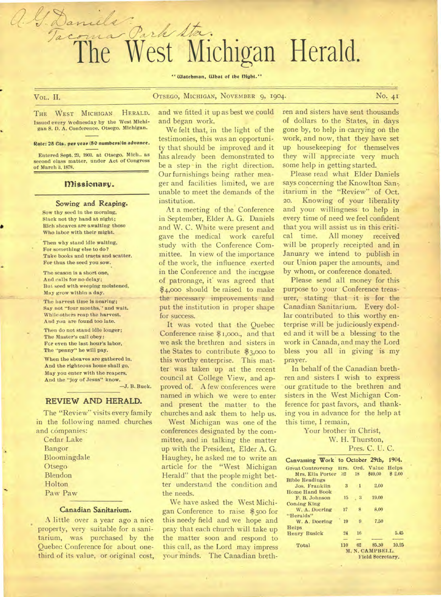# coma Park Sta. he West Michigan Herald.

" Watchman, What of the Dight."

a. J. Daniel

# VOL. II. **OTSEGO, MICHIGAN, NOVEMBER 9, 1904.** No. 41

THE WEST MICHIGAN HERALD. Issued every Wednesday by the West Michigan S. D. A. Conference. Otsego. Michigan.

#### Rate: 25 Cts. per year (50 numbers) in advance.

Entered Sept. 23, 1903. at Otsego. Mich.. as second class matter, under Act of Congress of March 3, 1878.

#### Missionary.

#### Sowing and Reaping.

Sow thy seed in the morning, Slack not thy hand at night; Rich sheaves are awaiting those Who labor with their might.

Then why stand idle waiting, For something else to do? Take books and tracts and scatter. For thus the seed you sow.

The season is a short one, And calls for no delay; But seed with weeping moistened, May grow within a day.

The harvest time is nearing; Say not "four months,'' and wait. While others reap the harvest. And you are found too late.

Then do not stand idle longer; The Master's call obey: For even the last hour's labor, The "penny" he will pay.

When the sheaves are gathered in, And the righteous home shall go, *May* you enter with the reapers. And the "joy of Jesus" know.

—J. B. Buck.

## REVIEW AND HERALD.

The "Review" visits every family in the following named churches and companies:

Cedar Lake Bangor Bloomingdale **Otsego** Blendon Holton Paw Paw

#### **Canadian Sanitarium.**

A little over a year ago a nice property, very suitable for a sanitarium, was purchased by the Quebec Conference for about onethird of its value, or original cost,

and we fitted it up as best we could and began work.

We felt that, in the light of the testimonies, this was an opportunity that should be improved and it has already been demonstrated to be a step-in the right direction. Our furnishings being rather meager and facilities limited, we are unable to meet the demands of the institution.

At a meeting of the Conference in September, Elder A. G. Daniels and W. C. White were present and gave the medical work careful study with the Conference Committee. In view of the importance of the work, the influence exerted in the Conference and the increase of patronage, if was agreed that \$4,000 should be raised to make the necessary improvements and put the institution in proper shape for success.

It was voted that the Quebec Conference raise \$1,000., and that we ask the brethren and sisters in the States to contribute \$3,000 to this worthy enterprise. This matter was taken up at the recent council at College View, and approved of. A few conferences were named in which we were to enter and present the matter to the churches and ask them to help us.

West Michigan was one of the conferences designated by the committee, and in talking the matter up with the President, Elder A. G. Haughey, he asked me to write an article for the "West Michigan Herald" that the people might better understand the condition and the needs.

We have asked the West Michigan Conference to raise \$50o for this needy field and we hope and pray that each church will take up the matter soon and respond to this call, as the Lord may impress your minds. The Canadian breth-

ren and sisters have sent thousands of dollars to the States, in days gone by, to help in carrying on the work, and now, that they have set up housekeeping for themselves they will appreciate very much some help in getting started.

Please read what Elder Daniels says concerning the Knowlton San-, itarium in the "Review" of Oct. 20. Knowing of your liberality and your willingness to help in every time of need we feel confident that you will assist us in this critical time. All money received will be properly receipted and in January we intend to publish in our Union paper the amounts, and by whom, or conference donated.

Please send all money for this purpose to your Conference treasurer, stating that it is for the Canadian Sanitarium. Every dollar contributed to this worthy enterprise will be judiciously expended and it will be a blessing to the work in Canada, and may the Lord bless you all in giving is my prayer.

In behalf of the Canadian brethren and sisters I wish to express our gratitude to the brethren and sisters in the West Michigan Conference for past favors, and thanking you in advance for the help at this time, I remain,

> Your brother in Christ, W. H. Thurston,

#### Pres. C. U. C.

| Canvassing Work to October 29th,        |                  |              |            | 1904.  |
|-----------------------------------------|------------------|--------------|------------|--------|
| Great Controversy Hrs. Ord. Value Helps |                  |              |            |        |
| Mrs. Ella Porter 32                     |                  |              | 18 \$49.00 | \$2.00 |
| <b>Bible Readings</b>                   |                  |              |            |        |
| Jos. Franklin                           | $\mathbf{B}$     | $\mathbf{1}$ | 2.00       |        |
| <b>Home Hand Book</b>                   |                  |              |            |        |
| F. B. Johnson                           | 15               | . 3          | 19.00      |        |
| <b>Coming King</b>                      |                  |              |            |        |
| W. A. Doering                           | 17               | 8            | 8.00       |        |
| "Heralds"                               |                  |              |            |        |
| W. A. Doering                           | 19               | 9            | 7.50       |        |
| <b>Helps</b>                            |                  |              |            |        |
| <b>Henry Busick</b>                     | 24               | 16           |            | 5.45   |
|                                         |                  |              |            |        |
| Total                                   | 110              | 62           | 85.50      | 10.25  |
|                                         | M. N. CAMPBELL.  |              |            |        |
|                                         | Field Secretary. |              |            |        |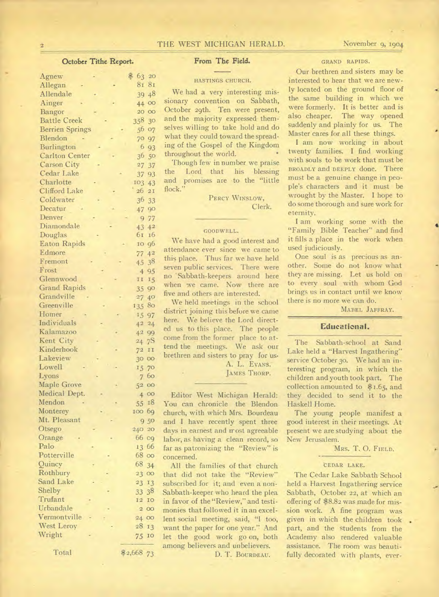# 2 THE WEST MICHIGAN HERALD. November 9, 1904

# October Tithe Report.

| Agnew                  | \$<br>63<br>20                   |
|------------------------|----------------------------------|
| Allegan                | 8 <sub>1</sub><br>8 <sub>I</sub> |
| Allendale              | 48<br>39                         |
| Ainger                 | 44 00                            |
| Bangor                 | 20 <sup>°</sup><br>$_{\rm OO}$   |
| <b>Battle Creek</b>    | 358<br>30                        |
| <b>Berrien Springs</b> | 56<br>O <sub>7</sub>             |
| Blendon                | 97<br>70                         |
| <b>Burlington</b>      | 6<br>93                          |
| <b>Carlton Center</b>  | 36<br>50                         |
| <b>Carson City</b>     | $^{27}$                          |
| Cedar Lake             | 37                               |
| Charlotte              | 93<br>37                         |
| Clifford Lake          | 103<br>43<br>26<br>2I            |
| Coldwater              |                                  |
|                        | 36<br>33                         |
| Decatur                | 90<br>47                         |
| Denver-                | 77<br>9                          |
| Diamondale             | $4^{2}$<br>43                    |
| Douglas                | 61<br>16                         |
| <b>Eaton Rapids</b>    | 96<br>IO                         |
| Edmore                 | 4 <sup>2</sup><br>77             |
| Fremont                | 38<br>45                         |
| Frost                  | 95<br>$\ddot{4}$                 |
| Glennwood              | 15<br>$\rm I\ I$                 |
| <b>Grand Rapids</b>    | $90^{\circ}$<br>35               |
| Grandville             | $27^{2}$<br>40 <sup>°</sup>      |
| Greenville             | 80<br>135                        |
| Homer                  | 97<br>15                         |
| Individuals            | 24<br>$4^{2}$                    |
| Kalamazoo              | 99<br>42                         |
| Kent City              | 7S<br>$^{24}$                    |
| Kinderhook             | $7^{2}$<br>II                    |
| Lakeview               | 30 <sup>°</sup><br>OO            |
| Lowell                 | 70<br>15                         |
| Lyons                  | 60<br>$\overline{7}$             |
| Maple Grove            | $_{\rm oo}$<br>52                |
| Medical Dept.          | 400                              |
| Mendon                 | 18<br>55                         |
| Monterey               | 69<br>100                        |
| Mt. Pleasant           | 50<br>9                          |
| Otsego                 | 20<br>240                        |
| Orange                 | 66<br>cg                         |
| Palo                   | 66<br>13                         |
| Potterville            | 68<br>$\circ$                    |
| Quincy                 | 68                               |
| Rothbury               | 34                               |
| Sand Lake              | 23<br>$\circ$                    |
| Shelby                 | 23<br>13                         |
| Trufant                | 38<br>33                         |
|                        | 12<br>IO                         |
| Urbandale              | $\overline{a}$<br>OO             |
| Vermontville           | 24<br>00                         |
| West Leroy             | 28<br>13                         |
| Wright                 | 75<br>IO                         |
| Total                  | \$2,668 73                       |

# From The Field.

#### HASTINGS CHURCH.

We had a very interesting missionary convention on Sabbath, October 29th. Ten were present, and the majority expressed themselves willing to take hold and do what they could toward the spreading of the Gospel of the Kingdom throughout the world.

Though few in number we praise the Lord, that his blessing and promises are to the "little flock.'

> PERCY WINSLOW, Clerk.

# GOODWELL.

We have had a good interest and attendance ever since we came to this place. Thus far we have held seven public services. There were no 'Sabbath-keepers around here when we came. Now there are five and others are interested.

We held meetings in the school district joining this before we came here. We believe the Lord directed us to this place. The people come from the former place to attend the meetings. We ask our brethren and sisters to pray for us•

> A. L. EVANS. JAMES THORP.

Editor West Michigan Herald: You can chronicle the Blendon church, with which Mrs. Bourdeau and I have recently spent three days in earnest and most agreeable labor, as having a clean record, so far as patronizing the "Review" is concerned.

All the families of that church that did not take the "Review" subscribed for it; and even a non-Sabbath-keeper who heard the plea in favor of the "Review," and testimonies that followed it in an excellent social meeting, said, "1 too, want the paper for one year." And let the good work go on, both among believers and unbelievers.

D. T. BOURDEAU.

#### GRAND RAPIDS.

Our brethren and sisters may be interested to hear that we are newly located on the ground floor of the same building in which we were formerly. It is better and is also cheaper. The way opened suddenly and plainly for us. The Master cares for all these things.

I am now working in about twenty families. I find working with souls to be work that must be BROADLY and DEEPLY done. There must be a genuine change in people's characters and it must be wrought by the Master. I hope to do some thorough and sure work for eternity.

I am working some with the "Family Bible Teacher" and find it fills a place in the work when used judiciously.

One soul is as precious as another. Some do not know what they are missing. Let us hold on to every soul with whom God brings us in contact until we know there is no more we can do.

MABEL JAFFRAY.

### **Educational.**

The Sabbath-school at Sand Lake held a "Harvest Ingathering" service October 30. We had an interesting program, in which the children and youth took part. The collection amounted to \$1.65, and they decided to send it to the Haskell Home.

The young people manifest a good interest in their meetings. At present we are studying about the New Jerusalem.

MRS. T. 0. FIELD.

#### CEDAR LAKE.

The Cedar Lake Sabbath School held a Harvest Ingathering service Sabbath, October 22, at which an offering of \$8.82 was made for mission work. A fine program was given in which the children took part, and the students from the Academy also rendered valuable assistance. The room was beautifully decorated with plants, ever-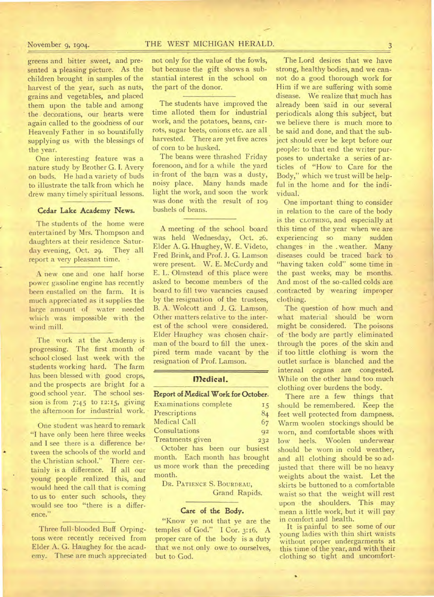# November 9, 1904. THE WEST MICHIGAN HERALD.

greens and bitter sweet, and presented a pleasing picture. As the children brought in samples of the harvest of the year, such as nuts, grains and vegetables, and placed them upon the table and among the decorations, our hearts were again called to the goodness of our Heavenly Father in so bountifully supplying us with the blessings of the year.

One interesting feature was a nature study by Brother G. I. Avery on buds. He had a variety of buds to illustrate the talk from which he drew many timely spiritual lessons.

# Cedar Lake Academy News.

The students of the home were entertained by Mrs. Thompson and daughters at their residence Saturday evening, Oct. 29. They all report a very pleasant time.

A new one and one half horse power gasoline engine has recently been enstalled on the farm. It is much appreciated as it supplies the large amount of water needed which was impossible with the wind mill.

The work at the Academy is progressing. The first month of school closed last week with the students working hard. The farm has been blessed with good crops, and the prospects are bright for a good school year. The school session is from  $7:45$  to  $12:15$ , giving the afternoon for industrial work.

One student was heard to remark "I have only been here three weeks and I see there is a difference between the schools of the world and the Christian school." There certainly is a difference. If all our young people realized this, and would heed the call that is coming to us to enter such schools, they would see too "there is a difference."

Three full-blooded Buff Orpingtons were recently received from Elder A. G. Haughey for the academy. These are much appreciated not only for the value of the fowls, but because the gift shows a substantial interest in the school on the part of the donor.

The students have improved the time alloted them for industrial work, and the potatoes, beans, carrots, sugar beets, onions etc. are all harvested. There are yet five acres of corn to be husked.

The beans were thrashed Friday forenoon, and for a while the yard in-front of the barn was a dusty, noisy place. Many hands made light the work, and soon the work was done with the result of 109 bushels of beans.

A meeting of the school board was held Wednesday, Oct. 26. Elder A. G. Haughey, W. E. Videto, Fred Brink, and Prof. J. G. Lamson were present. W. E. McCurdy and E. L. Olmstead of this place were asked to become members of the board to fill two vacancies caused by the resignation of the trustees, B. A. Wolcott and J. G. Lamson. Other matters relative to the interest of the school were considered. Elder Haughey was chosen chairman of the board to fill the unexpired term made vacant by the resignation of Prof. Lamson.

# **Medical.**

# **Report of Medical Work for October.**

| <b>Examinations complete</b> | 15             |
|------------------------------|----------------|
| Prescriptions                | 84             |
| Medical Call                 | 67             |
| Consultations                | Q <sub>2</sub> |
| Treatments given             | 232            |

October has been our busiest month. Each month has brought us more work than the preceding month.

DR. PATIENCE S. BOURDEAU, Grand Rapids.

#### **Care of the Body.**

"Know ye not that ye are the temples of God." I Cor. 3:16. A proper care of the body is a duty that we not only owe to ourselves, but to God.

The Lord desires that we have strong, healthy bodies, and we cannot do a good thorough work for Him if we are suffering with some disease. We realize that much has already been said in our several periodicals along this subject, but we believe there is much more to be said and done, and that the subject should ever be kept before our people: to that end the writer purposes to undertake a series of articles of "How to Care for the Body," which we trust will be helpful in the home and for the individual.

One important thing to consider in relation to the care of the body is the CLOTHING, and especially at this time of the year when we are experiencing so many sudden changes in the . weather. Many diseases could be traced back to "having taken cold" some time in the past weeks; may be months. And most of the so-called colds are contracted by wearing improper clothing.

The question of how much and what material should be worn might be considered. The poisons of the body are partly eliminated through the pores of the skin and if too little clothing is worn the outlet surface is blanched and the internal organs are congested. While on the other hand too much clothing over burdens the body.

There are a few things that should be remembered. Keep the feet well protected from dampness. Warm woolen stockings should be worn, and comfortable shoes with low heels. Woolen underwear should be worn in cold weather, and all clothing should be so adjusted that there will be no heavy weights about the waist. Let the skirts be buttoned to a comfortable waist so that the weight will rest upon the shoulders. This may mean a little work, but it will pay in comfort and health.

It is painful to see some of our young ladies with thin shirt waists without proper undergarments at this time of the year, and with their clothing so tight and uncomfort-